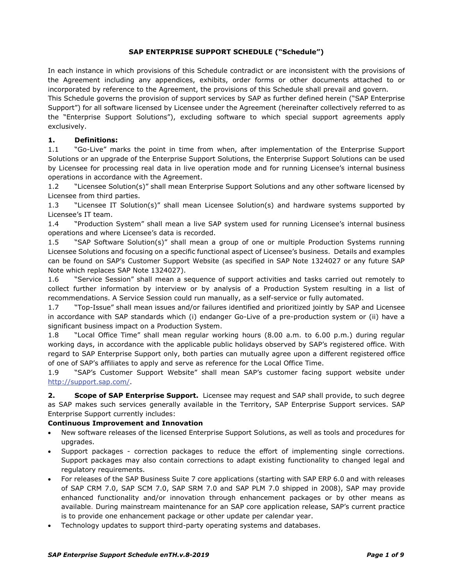### **SAP ENTERPRISE SUPPORT SCHEDULE ("Schedule")**

In each instance in which provisions of this Schedule contradict or are inconsistent with the provisions of the Agreement including any appendices, exhibits, order forms or other documents attached to or incorporated by reference to the Agreement, the provisions of this Schedule shall prevail and govern.

This Schedule governs the provision of support services by SAP as further defined herein ("SAP Enterprise Support") for all software licensed by Licensee under the Agreement (hereinafter collectively referred to as the "Enterprise Support Solutions"), excluding software to which special support agreements apply exclusively.

### **1. Definitions:**

1.1 "Go-Live" marks the point in time from when, after implementation of the Enterprise Support Solutions or an upgrade of the Enterprise Support Solutions, the Enterprise Support Solutions can be used by Licensee for processing real data in live operation mode and for running Licensee's internal business operations in accordance with the Agreement.

1.2 "Licensee Solution(s)" shall mean Enterprise Support Solutions and any other software licensed by Licensee from third parties.

1.3 "Licensee IT Solution(s)" shall mean Licensee Solution(s) and hardware systems supported by Licensee's IT team.

1.4 "Production System" shall mean a live SAP system used for running Licensee's internal business operations and where Licensee's data is recorded.

1.5 "SAP Software Solution(s)" shall mean a group of one or multiple Production Systems running Licensee Solutions and focusing on a specific functional aspect of Licensee's business. Details and examples can be found on SAP's Customer Support Website (as specified in SAP Note 1324027 or any future SAP Note which replaces SAP Note 1324027).

1.6 "Service Session" shall mean a sequence of support activities and tasks carried out remotely to collect further information by interview or by analysis of a Production System resulting in a list of recommendations. A Service Session could run manually, as a self-service or fully automated.

1.7 "Top-Issue" shall mean issues and/or failures identified and prioritized jointly by SAP and Licensee in accordance with SAP standards which (i) endanger Go-Live of a pre-production system or (ii) have a significant business impact on a Production System.

1.8 "Local Office Time" shall mean regular working hours (8.00 a.m. to 6.00 p.m.) during regular working days, in accordance with the applicable public holidays observed by SAP's registered office. With regard to SAP Enterprise Support only, both parties can mutually agree upon a different registered office of one of SAP's affiliates to apply and serve as reference for the Local Office Time.

1.9 "SAP's Customer Support Website" shall mean SAP's customer facing support website under [http://support.sap.com/.](http://support.sap.com/)

**2. Scope of SAP Enterprise Support.** Licensee may request and SAP shall provide, to such degree as SAP makes such services generally available in the Territory, SAP Enterprise Support services. SAP Enterprise Support currently includes:

### **Continuous Improvement and Innovation**

- New software releases of the licensed Enterprise Support Solutions, as well as tools and procedures for upgrades.
- Support packages correction packages to reduce the effort of implementing single corrections. Support packages may also contain corrections to adapt existing functionality to changed legal and regulatory requirements.
- For releases of the SAP Business Suite 7 core applications (starting with SAP ERP 6.0 and with releases of SAP CRM 7.0, SAP SCM 7.0, SAP SRM 7.0 and SAP PLM 7.0 shipped in 2008), SAP may provide enhanced functionality and/or innovation through enhancement packages or by other means as available. During mainstream maintenance for an SAP core application release, SAP's current practice is to provide one enhancement package or other update per calendar year.
- Technology updates to support third-party operating systems and databases.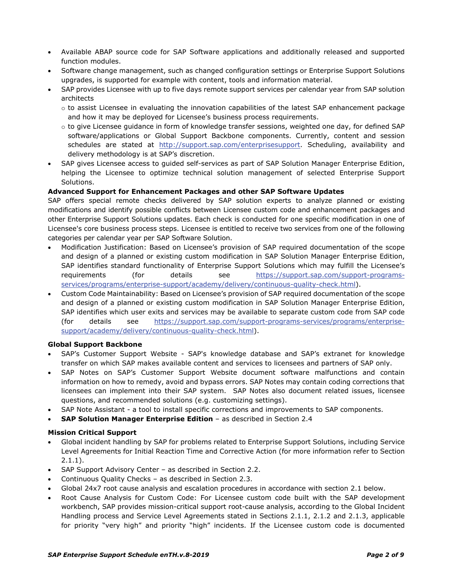- Available ABAP source code for SAP Software applications and additionally released and supported function modules.
- Software change management, such as changed configuration settings or Enterprise Support Solutions upgrades, is supported for example with content, tools and information material.
- SAP provides Licensee with up to five days remote support services per calendar year from SAP solution architects
	- o to assist Licensee in evaluating the innovation capabilities of the latest SAP enhancement package and how it may be deployed for Licensee's business process requirements.
	- o to give Licensee guidance in form of knowledge transfer sessions, weighted one day, for defined SAP software/applications or Global Support Backbone components. Currently, content and session schedules are stated at [http://support.sap.com/enterprisesupport.](http://support.sap.com/enterprisesupport) Scheduling, availability and delivery methodology is at SAP's discretion.
- SAP gives Licensee access to guided self-services as part of SAP Solution Manager Enterprise Edition, helping the Licensee to optimize technical solution management of selected Enterprise Support Solutions.

### **Advanced Support for Enhancement Packages and other SAP Software Updates**

SAP offers special remote checks delivered by SAP solution experts to analyze planned or existing modifications and identify possible conflicts between Licensee custom code and enhancement packages and other Enterprise Support Solutions updates. Each check is conducted for one specific modification in one of Licensee's core business process steps. Licensee is entitled to receive two services from one of the following categories per calendar year per SAP Software Solution.

- Modification Justification: Based on Licensee's provision of SAP required documentation of the scope and design of a planned or existing custom modification in SAP Solution Manager Enterprise Edition, SAP identifies standard functionality of Enterprise Support Solutions which may fulfill the Licensee's requirements (for details see [https://support.sap.com/support-programs](https://support.sap.com/support-programs-services/programs/enterprise-support/academy/delivery/continuous-quality-check.html)[services/programs/enterprise-support/academy/delivery/continuous-quality-check.html\)](https://support.sap.com/support-programs-services/programs/enterprise-support/academy/delivery/continuous-quality-check.html).
- Custom Code Maintainability: Based on Licensee's provision of SAP required documentation of the scope and design of a planned or existing custom modification in SAP Solution Manager Enterprise Edition, SAP identifies which user exits and services may be available to separate custom code from SAP code (for details see [https://support.sap.com/support-programs-services/programs/enterprise](https://support.sap.com/support-programs-services/programs/enterprise-support/academy/delivery/continuous-quality-check.html)[support/academy/delivery/continuous-quality-check.html\)](https://support.sap.com/support-programs-services/programs/enterprise-support/academy/delivery/continuous-quality-check.html).

#### **Global Support Backbone**

- SAP's Customer Support Website SAP's knowledge database and SAP's extranet for knowledge transfer on which SAP makes available content and services to licensees and partners of SAP only.
- SAP Notes on SAP's Customer Support Website document software malfunctions and contain information on how to remedy, avoid and bypass errors. SAP Notes may contain coding corrections that licensees can implement into their SAP system. SAP Notes also document related issues, licensee questions, and recommended solutions (e.g. customizing settings).
- SAP Note Assistant a tool to install specific corrections and improvements to SAP components.
- **SAP Solution Manager Enterprise Edition** as described in Section 2.4

#### **Mission Critical Support**

- Global incident handling by SAP for problems related to Enterprise Support Solutions, including Service Level Agreements for Initial Reaction Time and Corrective Action (for more information refer to Section 2.1.1).
- SAP Support Advisory Center as described in Section 2.2.
- Continuous Quality Checks as described in Section 2.3.
- Global 24x7 root cause analysis and escalation procedures in accordance with section 2.1 below.
- Root Cause Analysis for Custom Code: For Licensee custom code built with the SAP development workbench, SAP provides mission-critical support root-cause analysis, according to the Global Incident Handling process and Service Level Agreements stated in Sections 2.1.1, 2.1.2 and 2.1.3, applicable for priority "very high" and priority "high" incidents. If the Licensee custom code is documented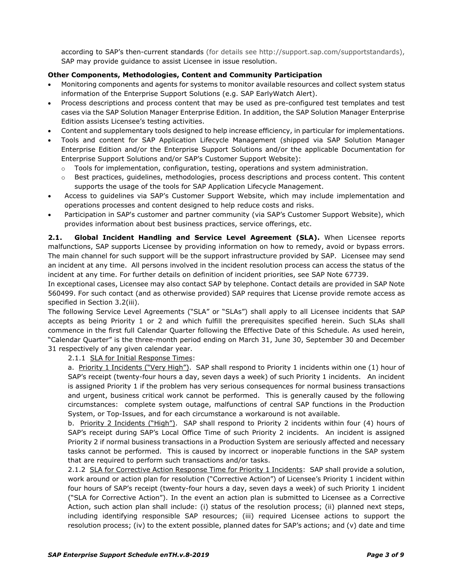according to SAP's then-current standards (for details see http://support.sap.com/supportstandards), SAP may provide guidance to assist Licensee in issue resolution.

### **Other Components, Methodologies, Content and Community Participation**

- Monitoring components and agents for systems to monitor available resources and collect system status information of the Enterprise Support Solutions (e.g. SAP EarlyWatch Alert).
- Process descriptions and process content that may be used as pre-configured test templates and test cases via the SAP Solution Manager Enterprise Edition. In addition, the SAP Solution Manager Enterprise Edition assists Licensee's testing activities.
- Content and supplementary tools designed to help increase efficiency, in particular for implementations.
- Tools and content for SAP Application Lifecycle Management (shipped via SAP Solution Manager Enterprise Edition and/or the Enterprise Support Solutions and/or the applicable Documentation for Enterprise Support Solutions and/or SAP's Customer Support Website):
	- $\circ$  Tools for implementation, configuration, testing, operations and system administration.
	- Best practices, guidelines, methodologies, process descriptions and process content. This content supports the usage of the tools for SAP Application Lifecycle Management.
- Access to guidelines via SAP's Customer Support Website, which may include implementation and operations processes and content designed to help reduce costs and risks.
- Participation in SAP's customer and partner community (via SAP's Customer Support Website), which provides information about best business practices, service offerings, etc.

**2.1. Global Incident Handling and Service Level Agreement (SLA).** When Licensee reports malfunctions, SAP supports Licensee by providing information on how to remedy, avoid or bypass errors. The main channel for such support will be the support infrastructure provided by SAP. Licensee may send an incident at any time. All persons involved in the incident resolution process can access the status of the incident at any time. For further details on definition of incident priorities, see SAP Note 67739.

In exceptional cases, Licensee may also contact SAP by telephone. Contact details are provided in SAP Note 560499. For such contact (and as otherwise provided) SAP requires that License provide remote access as specified in Section 3.2(iii).

The following Service Level Agreements ("SLA" or "SLAs") shall apply to all Licensee incidents that SAP accepts as being Priority 1 or 2 and which fulfill the prerequisites specified herein. Such SLAs shall commence in the first full Calendar Quarter following the Effective Date of this Schedule. As used herein, "Calendar Quarter" is the three-month period ending on March 31, June 30, September 30 and December 31 respectively of any given calendar year.

2.1.1 SLA for Initial Response Times:

a. Priority 1 Incidents ("Very High"). SAP shall respond to Priority 1 incidents within one (1) hour of SAP's receipt (twenty-four hours a day, seven days a week) of such Priority 1 incidents. An incident is assigned Priority 1 if the problem has very serious consequences for normal business transactions and urgent, business critical work cannot be performed. This is generally caused by the following circumstances: complete system outage, malfunctions of central SAP functions in the Production System, or Top-Issues, and for each circumstance a workaround is not available.

b. Priority 2 Incidents ("High"). SAP shall respond to Priority 2 incidents within four (4) hours of SAP's receipt during SAP's Local Office Time of such Priority 2 incidents. An incident is assigned Priority 2 if normal business transactions in a Production System are seriously affected and necessary tasks cannot be performed. This is caused by incorrect or inoperable functions in the SAP system that are required to perform such transactions and/or tasks.

2.1.2 SLA for Corrective Action Response Time for Priority 1 Incidents: SAP shall provide a solution, work around or action plan for resolution ("Corrective Action") of Licensee's Priority 1 incident within four hours of SAP's receipt (twenty-four hours a day, seven days a week) of such Priority 1 incident ("SLA for Corrective Action"). In the event an action plan is submitted to Licensee as a Corrective Action, such action plan shall include: (i) status of the resolution process; (ii) planned next steps, including identifying responsible SAP resources; (iii) required Licensee actions to support the resolution process; (iv) to the extent possible, planned dates for SAP's actions; and (v) date and time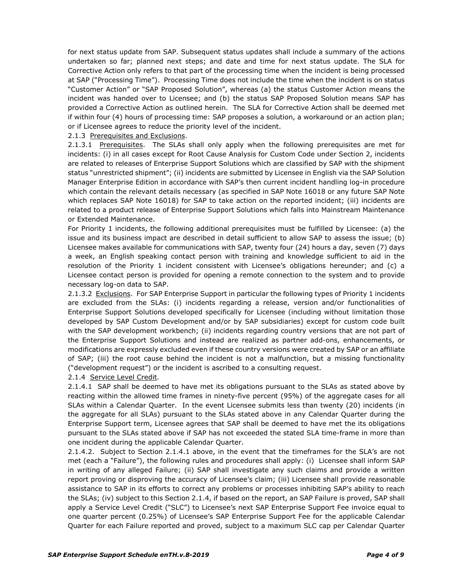for next status update from SAP. Subsequent status updates shall include a summary of the actions undertaken so far; planned next steps; and date and time for next status update. The SLA for Corrective Action only refers to that part of the processing time when the incident is being processed at SAP ("Processing Time"). Processing Time does not include the time when the incident is on status "Customer Action" or "SAP Proposed Solution", whereas (a) the status Customer Action means the incident was handed over to Licensee; and (b) the status SAP Proposed Solution means SAP has provided a Corrective Action as outlined herein. The SLA for Corrective Action shall be deemed met if within four (4) hours of processing time: SAP proposes a solution, a workaround or an action plan; or if Licensee agrees to reduce the priority level of the incident.

#### 2.1.3 Prerequisites and Exclusions.

2.1.3.1 Prerequisites. The SLAs shall only apply when the following prerequisites are met for incidents: (i) in all cases except for Root Cause Analysis for Custom Code under Section 2, incidents are related to releases of Enterprise Support Solutions which are classified by SAP with the shipment status "unrestricted shipment"; (ii) incidents are submitted by Licensee in English via the SAP Solution Manager Enterprise Edition in accordance with SAP's then current incident handling log-in procedure which contain the relevant details necessary (as specified in SAP Note 16018 or any future SAP Note which replaces SAP Note 16018) for SAP to take action on the reported incident; (iii) incidents are related to a product release of Enterprise Support Solutions which falls into Mainstream Maintenance or Extended Maintenance.

For Priority 1 incidents, the following additional prerequisites must be fulfilled by Licensee: (a) the issue and its business impact are described in detail sufficient to allow SAP to assess the issue; (b) Licensee makes available for communications with SAP, twenty four (24) hours a day, seven (7) days a week, an English speaking contact person with training and knowledge sufficient to aid in the resolution of the Priority 1 incident consistent with Licensee's obligations hereunder; and (c) a Licensee contact person is provided for opening a remote connection to the system and to provide necessary log-on data to SAP.

2.1.3.2 Exclusions. For SAP Enterprise Support in particular the following types of Priority 1 incidents are excluded from the SLAs: (i) incidents regarding a release, version and/or functionalities of Enterprise Support Solutions developed specifically for Licensee (including without limitation those developed by SAP Custom Development and/or by SAP subsidiaries) except for custom code built with the SAP development workbench; (ii) incidents regarding country versions that are not part of the Enterprise Support Solutions and instead are realized as partner add-ons, enhancements, or modifications are expressly excluded even if these country versions were created by SAP or an affiliate of SAP; (iii) the root cause behind the incident is not a malfunction, but a missing functionality ("development request") or the incident is ascribed to a consulting request.

2.1.4 Service Level Credit.

2.1.4.1 SAP shall be deemed to have met its obligations pursuant to the SLAs as stated above by reacting within the allowed time frames in ninety-five percent (95%) of the aggregate cases for all SLAs within a Calendar Quarter. In the event Licensee submits less than twenty (20) incidents (in the aggregate for all SLAs) pursuant to the SLAs stated above in any Calendar Quarter during the Enterprise Support term, Licensee agrees that SAP shall be deemed to have met the its obligations pursuant to the SLAs stated above if SAP has not exceeded the stated SLA time-frame in more than one incident during the applicable Calendar Quarter.

2.1.4.2. Subject to Section 2.1.4.1 above, in the event that the timeframes for the SLA's are not met (each a "Failure"), the following rules and procedures shall apply: (i) Licensee shall inform SAP in writing of any alleged Failure; (ii) SAP shall investigate any such claims and provide a written report proving or disproving the accuracy of Licensee's claim; (iii) Licensee shall provide reasonable assistance to SAP in its efforts to correct any problems or processes inhibiting SAP's ability to reach the SLAs; (iv) subject to this Section 2.1.4, if based on the report, an SAP Failure is proved, SAP shall apply a Service Level Credit ("SLC") to Licensee's next SAP Enterprise Support Fee invoice equal to one quarter percent (0.25%) of Licensee's SAP Enterprise Support Fee for the applicable Calendar Quarter for each Failure reported and proved, subject to a maximum SLC cap per Calendar Quarter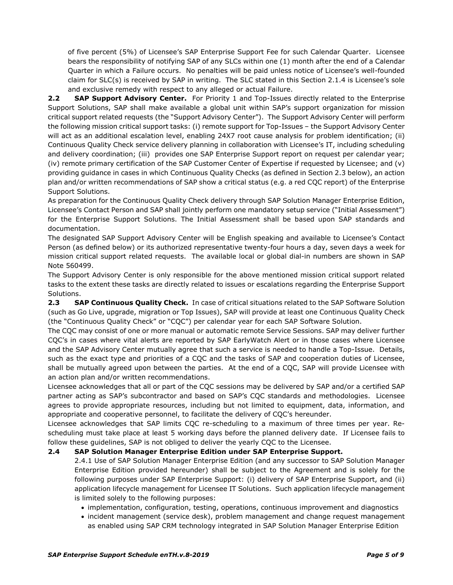of five percent (5%) of Licensee's SAP Enterprise Support Fee for such Calendar Quarter. Licensee bears the responsibility of notifying SAP of any SLCs within one (1) month after the end of a Calendar Quarter in which a Failure occurs. No penalties will be paid unless notice of Licensee's well-founded claim for SLC(s) is received by SAP in writing. The SLC stated in this Section 2.1.4 is Licensee's sole and exclusive remedy with respect to any alleged or actual Failure.

**2.2 SAP Support Advisory Center.** For Priority 1 and Top-Issues directly related to the Enterprise Support Solutions, SAP shall make available a global unit within SAP's support organization for mission critical support related requests (the "Support Advisory Center"). The Support Advisory Center will perform the following mission critical support tasks: (i) remote support for Top-Issues – the Support Advisory Center will act as an additional escalation level, enabling 24X7 root cause analysis for problem identification; (ii) Continuous Quality Check service delivery planning in collaboration with Licensee's IT, including scheduling and delivery coordination; (iii) provides one SAP Enterprise Support report on request per calendar year; (iv) remote primary certification of the SAP Customer Center of Expertise if requested by Licensee; and (v) providing guidance in cases in which Continuous Quality Checks (as defined in Section 2.3 below), an action plan and/or written recommendations of SAP show a critical status (e.g. a red CQC report) of the Enterprise Support Solutions.

As preparation for the Continuous Quality Check delivery through SAP Solution Manager Enterprise Edition, Licensee's Contact Person and SAP shall jointly perform one mandatory setup service ("Initial Assessment") for the Enterprise Support Solutions. The Initial Assessment shall be based upon SAP standards and documentation.

The designated SAP Support Advisory Center will be English speaking and available to Licensee's Contact Person (as defined below) or its authorized representative twenty-four hours a day, seven days a week for mission critical support related requests. The available local or global dial-in numbers are shown in SAP Note 560499.

The Support Advisory Center is only responsible for the above mentioned mission critical support related tasks to the extent these tasks are directly related to issues or escalations regarding the Enterprise Support Solutions.

**2.3 SAP Continuous Quality Check.** In case of critical situations related to the SAP Software Solution (such as Go Live, upgrade, migration or Top Issues), SAP will provide at least one Continuous Quality Check (the "Continuous Quality Check" or "CQC") per calendar year for each SAP Software Solution.

The CQC may consist of one or more manual or automatic remote Service Sessions. SAP may deliver further CQC's in cases where vital alerts are reported by SAP EarlyWatch Alert or in those cases where Licensee and the SAP Advisory Center mutually agree that such a service is needed to handle a Top-Issue. Details, such as the exact type and priorities of a CQC and the tasks of SAP and cooperation duties of Licensee, shall be mutually agreed upon between the parties. At the end of a CQC, SAP will provide Licensee with an action plan and/or written recommendations.

Licensee acknowledges that all or part of the CQC sessions may be delivered by SAP and/or a certified SAP partner acting as SAP's subcontractor and based on SAP's CQC standards and methodologies. Licensee agrees to provide appropriate resources, including but not limited to equipment, data, information, and appropriate and cooperative personnel, to facilitate the delivery of CQC's hereunder.

Licensee acknowledges that SAP limits CQC re-scheduling to a maximum of three times per year. Rescheduling must take place at least 5 working days before the planned delivery date. If Licensee fails to follow these guidelines, SAP is not obliged to deliver the yearly CQC to the Licensee.

# **2.4 SAP Solution Manager Enterprise Edition under SAP Enterprise Support.**

2.4.1 Use of SAP Solution Manager Enterprise Edition (and any successor to SAP Solution Manager Enterprise Edition provided hereunder) shall be subject to the Agreement and is solely for the following purposes under SAP Enterprise Support: (i) delivery of SAP Enterprise Support, and (ii) application lifecycle management for Licensee IT Solutions. Such application lifecycle management is limited solely to the following purposes:

- implementation, configuration, testing, operations, continuous improvement and diagnostics
- incident management (service desk), problem management and change request management as enabled using SAP CRM technology integrated in SAP Solution Manager Enterprise Edition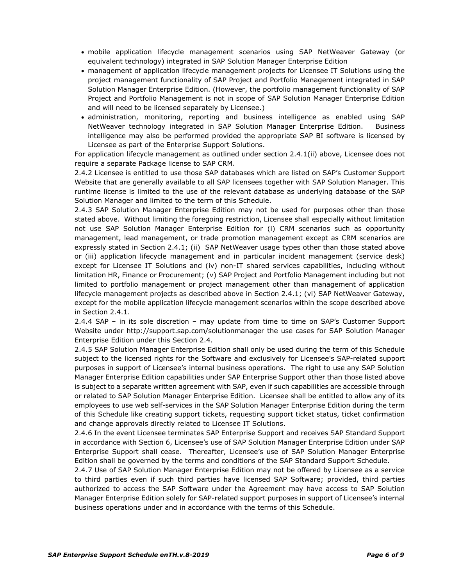- mobile application lifecycle management scenarios using SAP NetWeaver Gateway (or equivalent technology) integrated in SAP Solution Manager Enterprise Edition
- management of application lifecycle management projects for Licensee IT Solutions using the project management functionality of SAP Project and Portfolio Management integrated in SAP Solution Manager Enterprise Edition. (However, the portfolio management functionality of SAP Project and Portfolio Management is not in scope of SAP Solution Manager Enterprise Edition and will need to be licensed separately by Licensee.)
- administration, monitoring, reporting and business intelligence as enabled using SAP NetWeaver technology integrated in SAP Solution Manager Enterprise Edition. Business intelligence may also be performed provided the appropriate SAP BI software is licensed by Licensee as part of the Enterprise Support Solutions.

For application lifecycle management as outlined under section 2.4.1(ii) above, Licensee does not require a separate Package license to SAP CRM.

2.4.2 Licensee is entitled to use those SAP databases which are listed on SAP's Customer Support Website that are generally available to all SAP licensees together with SAP Solution Manager. This runtime license is limited to the use of the relevant database as underlying database of the SAP Solution Manager and limited to the term of this Schedule.

2.4.3 SAP Solution Manager Enterprise Edition may not be used for purposes other than those stated above. Without limiting the foregoing restriction, Licensee shall especially without limitation not use SAP Solution Manager Enterprise Edition for (i) CRM scenarios such as opportunity management, lead management, or trade promotion management except as CRM scenarios are expressly stated in Section 2.4.1; (ii) SAP NetWeaver usage types other than those stated above or (iii) application lifecycle management and in particular incident management (service desk) except for Licensee IT Solutions and (iv) non-IT shared services capabilities, including without limitation HR, Finance or Procurement; (v) SAP Project and Portfolio Management including but not limited to portfolio management or project management other than management of application lifecycle management projects as described above in Section 2.4.1; (vi) SAP NetWeaver Gateway, except for the mobile application lifecycle management scenarios within the scope described above in Section 2.4.1.

2.4.4 SAP – in its sole discretion – may update from time to time on SAP's Customer Support Website under http://support.sap.com/solutionmanager the use cases for SAP Solution Manager Enterprise Edition under this Section 2.4.

2.4.5 SAP Solution Manager Enterprise Edition shall only be used during the term of this Schedule subject to the licensed rights for the Software and exclusively for Licensee's SAP-related support purposes in support of Licensee's internal business operations. The right to use any SAP Solution Manager Enterprise Edition capabilities under SAP Enterprise Support other than those listed above is subject to a separate written agreement with SAP, even if such capabilities are accessible through or related to SAP Solution Manager Enterprise Edition. Licensee shall be entitled to allow any of its employees to use web self-services in the SAP Solution Manager Enterprise Edition during the term of this Schedule like creating support tickets, requesting support ticket status, ticket confirmation and change approvals directly related to Licensee IT Solutions.

2.4.6 In the event Licensee terminates SAP Enterprise Support and receives SAP Standard Support in accordance with Section 6, Licensee's use of SAP Solution Manager Enterprise Edition under SAP Enterprise Support shall cease. Thereafter, Licensee's use of SAP Solution Manager Enterprise Edition shall be governed by the terms and conditions of the SAP Standard Support Schedule.

2.4.7 Use of SAP Solution Manager Enterprise Edition may not be offered by Licensee as a service to third parties even if such third parties have licensed SAP Software; provided, third parties authorized to access the SAP Software under the Agreement may have access to SAP Solution Manager Enterprise Edition solely for SAP-related support purposes in support of Licensee's internal business operations under and in accordance with the terms of this Schedule.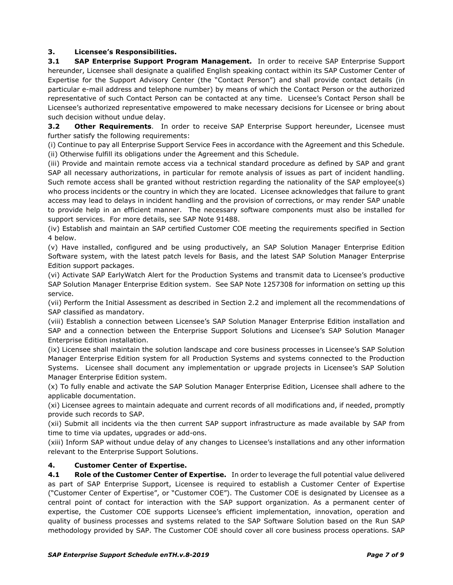## **3. Licensee's Responsibilities.**

**3.1 SAP Enterprise Support Program Management.** In order to receive SAP Enterprise Support hereunder, Licensee shall designate a qualified English speaking contact within its SAP Customer Center of Expertise for the Support Advisory Center (the "Contact Person") and shall provide contact details (in particular e-mail address and telephone number) by means of which the Contact Person or the authorized representative of such Contact Person can be contacted at any time. Licensee's Contact Person shall be Licensee's authorized representative empowered to make necessary decisions for Licensee or bring about such decision without undue delay.

**3.2 Other Requirements.** In order to receive SAP Enterprise Support hereunder, Licensee must further satisfy the following requirements:

(i) Continue to pay all Enterprise Support Service Fees in accordance with the Agreement and this Schedule. (ii) Otherwise fulfill its obligations under the Agreement and this Schedule.

(iii) Provide and maintain remote access via a technical standard procedure as defined by SAP and grant SAP all necessary authorizations, in particular for remote analysis of issues as part of incident handling. Such remote access shall be granted without restriction regarding the nationality of the SAP employee(s) who process incidents or the country in which they are located. Licensee acknowledges that failure to grant access may lead to delays in incident handling and the provision of corrections, or may render SAP unable to provide help in an efficient manner. The necessary software components must also be installed for support services. For more details, see SAP Note 91488.

(iv) Establish and maintain an SAP certified Customer COE meeting the requirements specified in Section 4 below.

(v) Have installed, configured and be using productively, an SAP Solution Manager Enterprise Edition Software system, with the latest patch levels for Basis, and the latest SAP Solution Manager Enterprise Edition support packages.

(vi) Activate SAP EarlyWatch Alert for the Production Systems and transmit data to Licensee's productive SAP Solution Manager Enterprise Edition system. See SAP Note 1257308 for information on setting up this service.

(vii) Perform the Initial Assessment as described in Section 2.2 and implement all the recommendations of SAP classified as mandatory.

(viii) Establish a connection between Licensee's SAP Solution Manager Enterprise Edition installation and SAP and a connection between the Enterprise Support Solutions and Licensee's SAP Solution Manager Enterprise Edition installation.

(ix) Licensee shall maintain the solution landscape and core business processes in Licensee's SAP Solution Manager Enterprise Edition system for all Production Systems and systems connected to the Production Systems. Licensee shall document any implementation or upgrade projects in Licensee's SAP Solution Manager Enterprise Edition system.

(x) To fully enable and activate the SAP Solution Manager Enterprise Edition, Licensee shall adhere to the applicable documentation.

(xi) Licensee agrees to maintain adequate and current records of all modifications and, if needed, promptly provide such records to SAP.

(xii) Submit all incidents via the then current SAP support infrastructure as made available by SAP from time to time via updates, upgrades or add-ons.

(xiii) Inform SAP without undue delay of any changes to Licensee's installations and any other information relevant to the Enterprise Support Solutions.

# **4. Customer Center of Expertise.**

**4.1 Role of the Customer Center of Expertise.** In order to leverage the full potential value delivered as part of SAP Enterprise Support, Licensee is required to establish a Customer Center of Expertise ("Customer Center of Expertise", or "Customer COE"). The Customer COE is designated by Licensee as a central point of contact for interaction with the SAP support organization. As a permanent center of expertise, the Customer COE supports Licensee's efficient implementation, innovation, operation and quality of business processes and systems related to the SAP Software Solution based on the Run SAP methodology provided by SAP. The Customer COE should cover all core business process operations. SAP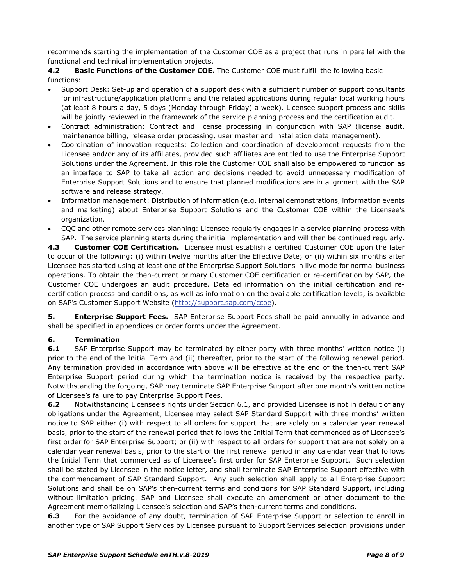recommends starting the implementation of the Customer COE as a project that runs in parallel with the functional and technical implementation projects.

**4.2 Basic Functions of the Customer COE.** The Customer COE must fulfill the following basic functions:

- Support Desk: Set-up and operation of a support desk with a sufficient number of support consultants for infrastructure/application platforms and the related applications during regular local working hours (at least 8 hours a day, 5 days (Monday through Friday) a week). Licensee support process and skills will be jointly reviewed in the framework of the service planning process and the certification audit.
- Contract administration: Contract and license processing in conjunction with SAP (license audit, maintenance billing, release order processing, user master and installation data management).
- Coordination of innovation requests: Collection and coordination of development requests from the Licensee and/or any of its affiliates, provided such affiliates are entitled to use the Enterprise Support Solutions under the Agreement. In this role the Customer COE shall also be empowered to function as an interface to SAP to take all action and decisions needed to avoid unnecessary modification of Enterprise Support Solutions and to ensure that planned modifications are in alignment with the SAP software and release strategy.
- Information management: Distribution of information (e.g. internal demonstrations, information events and marketing) about Enterprise Support Solutions and the Customer COE within the Licensee's organization.
- CQC and other remote services planning: Licensee regularly engages in a service planning process with SAP. The service planning starts during the initial implementation and will then be continued regularly.

**4.3 Customer COE Certification.** Licensee must establish a certified Customer COE upon the later to occur of the following: (i) within twelve months after the Effective Date; or (ii) within six months after Licensee has started using at least one of the Enterprise Support Solutions in live mode for normal business operations. To obtain the then-current primary Customer COE certification or re-certification by SAP, the Customer COE undergoes an audit procedure. Detailed information on the initial certification and recertification process and conditions, as well as information on the available certification levels, is available on SAP's Customer Support Website [\(http://support.sap.com/ccoe\)](http://support.sap.com/ccoe).

**5. Enterprise Support Fees.** SAP Enterprise Support Fees shall be paid annually in advance and shall be specified in appendices or order forms under the Agreement.

# **6. Termination**

**6.1** SAP Enterprise Support may be terminated by either party with three months' written notice (i) prior to the end of the Initial Term and (ii) thereafter, prior to the start of the following renewal period. Any termination provided in accordance with above will be effective at the end of the then-current SAP Enterprise Support period during which the termination notice is received by the respective party. Notwithstanding the forgoing, SAP may terminate SAP Enterprise Support after one month's written notice of Licensee's failure to pay Enterprise Support Fees.

**6.2** Notwithstanding Licensee's rights under Section 6.1, and provided Licensee is not in default of any obligations under the Agreement, Licensee may select SAP Standard Support with three months' written notice to SAP either (i) with respect to all orders for support that are solely on a calendar year renewal basis, prior to the start of the renewal period that follows the Initial Term that commenced as of Licensee's first order for SAP Enterprise Support; or (ii) with respect to all orders for support that are not solely on a calendar year renewal basis, prior to the start of the first renewal period in any calendar year that follows the Initial Term that commenced as of Licensee's first order for SAP Enterprise Support. Such selection shall be stated by Licensee in the notice letter, and shall terminate SAP Enterprise Support effective with the commencement of SAP Standard Support. Any such selection shall apply to all Enterprise Support Solutions and shall be on SAP's then-current terms and conditions for SAP Standard Support, including without limitation pricing. SAP and Licensee shall execute an amendment or other document to the Agreement memorializing Licensee's selection and SAP's then-current terms and conditions.

**6.3** For the avoidance of any doubt, termination of SAP Enterprise Support or selection to enroll in another type of SAP Support Services by Licensee pursuant to Support Services selection provisions under